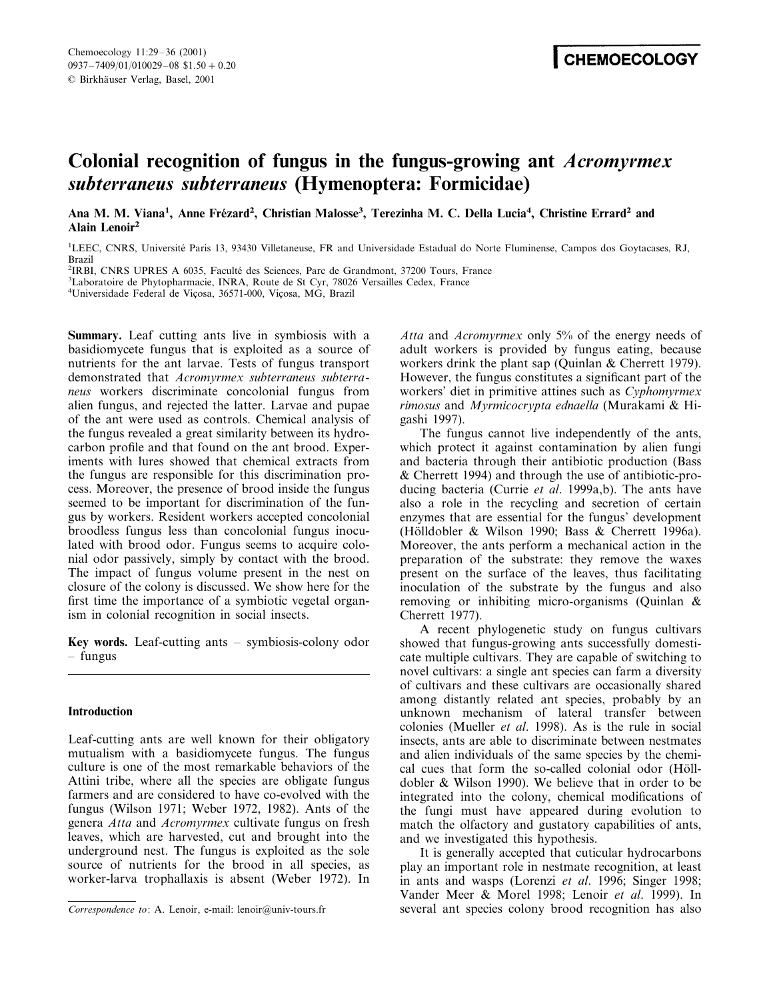# **Colonial recognition of fungus in the fungus-growing ant** *Acromyrmex subterraneus subterraneus* **(Hymenoptera: Formicidae)**

Ana M. M. Viana<sup>1</sup>, Anne Frézard<sup>2</sup>, Christian Malosse<sup>3</sup>, Terezinha M. C. Della Lucia<sup>4</sup>, Christine Errard<sup>2</sup> and **Alain Lenoir2**

<sup>1</sup>LEEC, CNRS, Université Paris 13, 93430 Villetaneuse, FR and Universidade Estadual do Norte Fluminense, Campos dos Goytacases, RJ, Brazil

<sup>2</sup>IRBI, CNRS UPRES A 6035, Faculté des Sciences, Parc de Grandmont, 37200 Tours, France<br><sup>3</sup>I aboratoire de Phytopharmacie, INRA, Route de St Cyr. 78026 Versailles Cedex, France

Laboratoire de Phytopharmacie, INRA, Route de St Cyr, 78026 Versailles Cedex, France

<sup>4</sup>Universidade Federal de Viçosa, 36571-000, Viçosa, MG, Brazil

**Summary.** Leaf cutting ants live in symbiosis with a basidiomycete fungus that is exploited as a source of nutrients for the ant larvae. Tests of fungus transport demonstrated that *Acromyrmex subterraneus subterraneus* workers discriminate concolonial fungus from alien fungus, and rejected the latter. Larvae and pupae of the ant were used as controls. Chemical analysis of the fungus revealed a great similarity between its hydrocarbon profile and that found on the ant brood. Experiments with lures showed that chemical extracts from the fungus are responsible for this discrimination process. Moreover, the presence of brood inside the fungus seemed to be important for discrimination of the fungus by workers. Resident workers accepted concolonial broodless fungus less than concolonial fungus inoculated with brood odor. Fungus seems to acquire colonial odor passively, simply by contact with the brood. The impact of fungus volume present in the nest on closure of the colony is discussed. We show here for the first time the importance of a symbiotic vegetal organism in colonial recognition in social insects.

**Key words.** Leaf-cutting ants – symbiosis-colony odor – fungus

# **Introduction**

Leaf-cutting ants are well known for their obligatory mutualism with a basidiomycete fungus. The fungus culture is one of the most remarkable behaviors of the Attini tribe, where all the species are obligate fungus farmers and are considered to have co-evolved with the fungus (Wilson 1971; Weber 1972, 1982). Ants of the genera *Atta* and *Acromyrmex* cultivate fungus on fresh leaves, which are harvested, cut and brought into the underground nest. The fungus is exploited as the sole source of nutrients for the brood in all species, as worker-larva trophallaxis is absent (Weber 1972). In

*Atta* and *Acromyrmex* only 5% of the energy needs of adult workers is provided by fungus eating, because workers drink the plant sap (Quinlan & Cherrett 1979). However, the fungus constitutes a significant part of the workers' diet in primitive attines such as *Cyphomyrmex rimosus* and *Myrmicocrypta ednaella* (Murakami & Higashi 1997).

The fungus cannot live independently of the ants, which protect it against contamination by alien fungi and bacteria through their antibiotic production (Bass & Cherrett 1994) and through the use of antibiotic-producing bacteria (Currie *et al*. 1999a,b). The ants have also a role in the recycling and secretion of certain enzymes that are essential for the fungus' development (Hölldobler & Wilson 1990; Bass & Cherrett 1996a). Moreover, the ants perform a mechanical action in the preparation of the substrate: they remove the waxes present on the surface of the leaves, thus facilitating inoculation of the substrate by the fungus and also removing or inhibiting micro-organisms (Quinlan & Cherrett 1977).

A recent phylogenetic study on fungus cultivars showed that fungus-growing ants successfully domesticate multiple cultivars. They are capable of switching to novel cultivars: a single ant species can farm a diversity of cultivars and these cultivars are occasionally shared among distantly related ant species, probably by an unknown mechanism of lateral transfer between colonies (Mueller *et al*. 1998). As is the rule in social insects, ants are able to discriminate between nestmates and alien individuals of the same species by the chemical cues that form the so-called colonial odor (Hölldobler & Wilson 1990). We believe that in order to be integrated into the colony, chemical modifications of the fungi must have appeared during evolution to match the olfactory and gustatory capabilities of ants, and we investigated this hypothesis.

It is generally accepted that cuticular hydrocarbons play an important role in nestmate recognition, at least in ants and wasps (Lorenzi *et al*. 1996; Singer 1998; Vander Meer & Morel 1998; Lenoir *et al*. 1999). In *Correspondence to*: A. Lenoir, e-mail: lenoir@univ-tours.fr several ant species colony brood recognition has also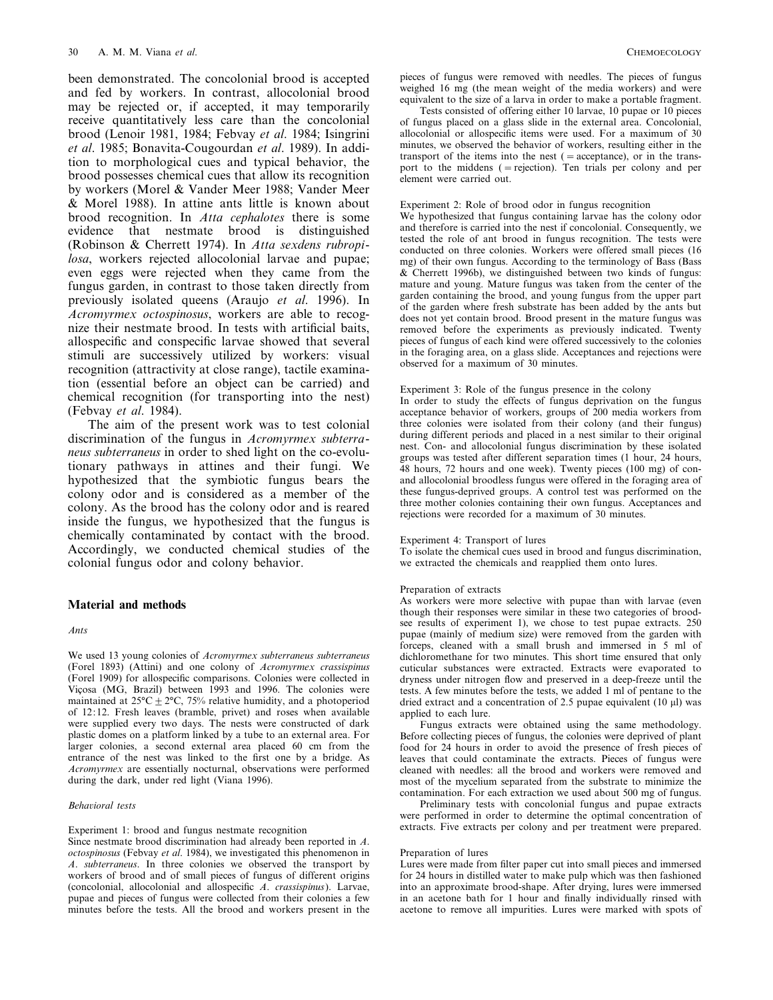been demonstrated. The concolonial brood is accepted and fed by workers. In contrast, allocolonial brood may be rejected or, if accepted, it may temporarily receive quantitatively less care than the concolonial brood (Lenoir 1981, 1984; Febvay *et al*. 1984; Isingrini *et al*. 1985; Bonavita-Cougourdan *et al*. 1989). In addition to morphological cues and typical behavior, the brood possesses chemical cues that allow its recognition by workers (Morel & Vander Meer 1988; Vander Meer & Morel 1988). In attine ants little is known about brood recognition. In *Atta cephalotes* there is some evidence that nestmate brood is distinguished (Robinson & Cherrett 1974). In *Atta sexdens rubropilosa*, workers rejected allocolonial larvae and pupae; even eggs were rejected when they came from the fungus garden, in contrast to those taken directly from previously isolated queens (Araujo *et al*. 1996). In *Acromyrmex octospinosus*, workers are able to recognize their nestmate brood. In tests with artificial baits, allospecific and conspecific larvae showed that several stimuli are successively utilized by workers: visual recognition (attractivity at close range), tactile examination (essential before an object can be carried) and chemical recognition (for transporting into the nest) (Febvay *et al*. 1984).

The aim of the present work was to test colonial discrimination of the fungus in *Acromyrmex subterraneus subterraneus* in order to shed light on the co-evolutionary pathways in attines and their fungi. We hypothesized that the symbiotic fungus bears the colony odor and is considered as a member of the colony. As the brood has the colony odor and is reared inside the fungus, we hypothesized that the fungus is chemically contaminated by contact with the brood. Accordingly, we conducted chemical studies of the colonial fungus odor and colony behavior.

# **Material and methods**

#### *Ants*

We used 13 young colonies of *Acromyrmex subterraneus subterraneus* (Forel 1893) (Attini) and one colony of *Acromyrmex crassispinus* (Forel 1909) for allospecific comparisons. Colonies were collected in Viçosa (MG, Brazil) between 1993 and 1996. The colonies were maintained at  $25^{\circ}\text{C} \pm 2^{\circ}\text{C}$ , 75% relative humidity, and a photoperiod of 12:12. Fresh leaves (bramble, privet) and roses when available were supplied every two days. The nests were constructed of dark plastic domes on a platform linked by a tube to an external area. For larger colonies, a second external area placed 60 cm from the entrance of the nest was linked to the first one by a bridge. As *Acromyrmex* are essentially nocturnal, observations were performed during the dark, under red light (Viana 1996).

#### *Beha*6*ioral tests*

Experiment 1: brood and fungus nestmate recognition

Since nestmate brood discrimination had already been reported in *A*. *octospinosus* (Febvay *et al*. 1984), we investigated this phenomenon in *A*. *subterraneus*. In three colonies we observed the transport by workers of brood and of small pieces of fungus of different origins (concolonial, allocolonial and allospecific *A*. *crassispinus*). Larvae, pupae and pieces of fungus were collected from their colonies a few minutes before the tests. All the brood and workers present in the pieces of fungus were removed with needles. The pieces of fungus weighed 16 mg (the mean weight of the media workers) and were equivalent to the size of a larva in order to make a portable fragment.

Tests consisted of offering either 10 larvae, 10 pupae or 10 pieces of fungus placed on a glass slide in the external area. Concolonial, allocolonial or allospecific items were used. For a maximum of 30 minutes, we observed the behavior of workers, resulting either in the transport of the items into the nest  $($  = acceptance), or in the transport to the middens (=rejection). Ten trials per colony and per element were carried out.

#### Experiment 2: Role of brood odor in fungus recognition

We hypothesized that fungus containing larvae has the colony odor and therefore is carried into the nest if concolonial. Consequently, we tested the role of ant brood in fungus recognition. The tests were conducted on three colonies. Workers were offered small pieces (16 mg) of their own fungus. According to the terminology of Bass (Bass & Cherrett 1996b), we distinguished between two kinds of fungus: mature and young. Mature fungus was taken from the center of the garden containing the brood, and young fungus from the upper part of the garden where fresh substrate has been added by the ants but does not yet contain brood. Brood present in the mature fungus was removed before the experiments as previously indicated. Twenty pieces of fungus of each kind were offered successively to the colonies in the foraging area, on a glass slide. Acceptances and rejections were observed for a maximum of 30 minutes.

## Experiment 3: Role of the fungus presence in the colony

In order to study the effects of fungus deprivation on the fungus acceptance behavior of workers, groups of 200 media workers from three colonies were isolated from their colony (and their fungus) during different periods and placed in a nest similar to their original nest. Con- and allocolonial fungus discrimination by these isolated groups was tested after different separation times (1 hour, 24 hours, 48 hours, 72 hours and one week). Twenty pieces (100 mg) of conand allocolonial broodless fungus were offered in the foraging area of these fungus-deprived groups. A control test was performed on the three mother colonies containing their own fungus. Acceptances and rejections were recorded for a maximum of 30 minutes.

#### Experiment 4: Transport of lures

To isolate the chemical cues used in brood and fungus discrimination, we extracted the chemicals and reapplied them onto lures.

## Preparation of extracts

As workers were more selective with pupae than with larvae (even though their responses were similar in these two categories of broodsee results of experiment 1), we chose to test pupae extracts. 250 pupae (mainly of medium size) were removed from the garden with forceps, cleaned with a small brush and immersed in 5 ml of dichloromethane for two minutes. This short time ensured that only cuticular substances were extracted. Extracts were evaporated to dryness under nitrogen flow and preserved in a deep-freeze until the tests. A few minutes before the tests, we added 1 ml of pentane to the dried extract and a concentration of 2.5 pupae equivalent (10  $\mu$ l) was applied to each lure.

Fungus extracts were obtained using the same methodology. Before collecting pieces of fungus, the colonies were deprived of plant food for 24 hours in order to avoid the presence of fresh pieces of leaves that could contaminate the extracts. Pieces of fungus were cleaned with needles: all the brood and workers were removed and most of the mycelium separated from the substrate to minimize the contamination. For each extraction we used about 500 mg of fungus.

Preliminary tests with concolonial fungus and pupae extracts were performed in order to determine the optimal concentration of extracts. Five extracts per colony and per treatment were prepared.

#### Preparation of lures

Lures were made from filter paper cut into small pieces and immersed for 24 hours in distilled water to make pulp which was then fashioned into an approximate brood-shape. After drying, lures were immersed in an acetone bath for 1 hour and finally individually rinsed with acetone to remove all impurities. Lures were marked with spots of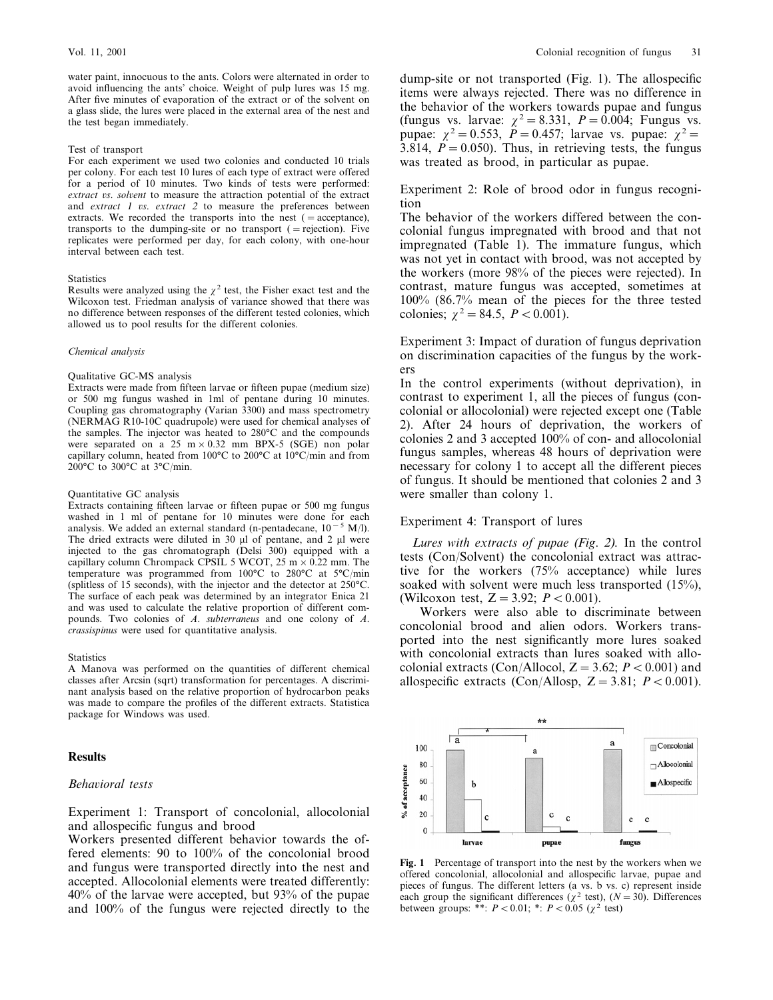water paint, innocuous to the ants. Colors were alternated in order to avoid influencing the ants' choice. Weight of pulp lures was 15 mg. After five minutes of evaporation of the extract or of the solvent on a glass slide, the lures were placed in the external area of the nest and the test began immediately.

## Test of transport

For each experiment we used two colonies and conducted 10 trials per colony. For each test 10 lures of each type of extract were offered for a period of 10 minutes. Two kinds of tests were performed: *extract* vs. *solvent* to measure the attraction potential of the extract and *extract* 1 *vs. extract* 2 to measure the preferences between extracts. We recorded the transports into the nest  $($  = acceptance), transports to the dumping-site or no transport  $($  = rejection). Five replicates were performed per day, for each colony, with one-hour interval between each test.

#### **Statistics**

Results were analyzed using the  $\gamma^2$  test, the Fisher exact test and the Wilcoxon test. Friedman analysis of variance showed that there was no difference between responses of the different tested colonies, which allowed us to pool results for the different colonies.

#### *Chemical analysis*

## Qualitative GC-MS analysis

Extracts were made from fifteen larvae or fifteen pupae (medium size) or 500 mg fungus washed in 1ml of pentane during 10 minutes. Coupling gas chromatography (Varian 3300) and mass spectrometry (NERMAG R10-10C quadrupole) were used for chemical analyses of the samples. The injector was heated to 280°C and the compounds were separated on a 25 m  $\times$  0.32 mm BPX-5 (SGE) non polar capillary column, heated from 100°C to 200°C at 10°C/min and from 200°C to 300°C at 3°C/min.

#### Quantitative GC analysis

Extracts containing fifteen larvae or fifteen pupae or 500 mg fungus washed in 1 ml of pentane for 10 minutes were done for each analysis. We added an external standard (n-pentadecane,  $10^{-5}$  M/l). The dried extracts were diluted in 30  $\mu$ l of pentane, and 2  $\mu$ l were injected to the gas chromatograph (Delsi 300) equipped with a capillary column Chrompack CPSIL 5 WCOT,  $25 \text{ m} \times 0.22 \text{ mm}$ . The temperature was programmed from 100°C to 280°C at 5°C/min (splitless of 15 seconds), with the injector and the detector at 250°C. The surface of each peak was determined by an integrator Enica 21 and was used to calculate the relative proportion of different compounds. Two colonies of *A*. *subterraneus* and one colony of *A*. *crassispinus* were used for quantitative analysis.

## **Statistics**

A Manova was performed on the quantities of different chemical classes after Arcsin (sqrt) transformation for percentages. A discriminant analysis based on the relative proportion of hydrocarbon peaks was made to compare the profiles of the different extracts. Statistica package for Windows was used.

# **Results**

## *Beha*6*ioral tests*

Experiment 1: Transport of concolonial, allocolonial and allospecific fungus and brood

Workers presented different behavior towards the offered elements: 90 to 100% of the concolonial brood and fungus were transported directly into the nest and accepted. Allocolonial elements were treated differently: 40% of the larvae were accepted, but 93% of the pupae and 100% of the fungus were rejected directly to the

dump-site or not transported (Fig. 1). The allospecific items were always rejected. There was no difference in the behavior of the workers towards pupae and fungus (fungus vs. larvae:  $\chi^2 = 8.331$ ,  $P = 0.004$ ; Fungus vs. pupae:  $\chi^2 = 0.553$ ,  $\ddot{P} = 0.457$ ; larvae vs. pupae:  $\chi^2 =$ 3.814,  $P = 0.050$ . Thus, in retrieving tests, the fungus was treated as brood, in particular as pupae.

Experiment 2: Role of brood odor in fungus recognition

The behavior of the workers differed between the concolonial fungus impregnated with brood and that not impregnated (Table 1). The immature fungus, which was not yet in contact with brood, was not accepted by the workers (more 98% of the pieces were rejected). In contrast, mature fungus was accepted, sometimes at 100% (86.7% mean of the pieces for the three tested colonies;  $\chi^2 = 84.5$ ,  $P < 0.001$ ).

Experiment 3: Impact of duration of fungus deprivation on discrimination capacities of the fungus by the workers

In the control experiments (without deprivation), in contrast to experiment 1, all the pieces of fungus (concolonial or allocolonial) were rejected except one (Table 2). After 24 hours of deprivation, the workers of colonies 2 and 3 accepted 100% of con- and allocolonial fungus samples, whereas 48 hours of deprivation were necessary for colony 1 to accept all the different pieces of fungus. It should be mentioned that colonies 2 and 3 were smaller than colony 1.

# Experiment 4: Transport of lures

*Lures with extracts of pupae* (*Fig*. 2). In the control tests (Con/Solvent) the concolonial extract was attractive for the workers (75% acceptance) while lures soaked with solvent were much less transported (15%), (Wilcoxon test,  $Z = 3.92$ ;  $P < 0.001$ ).

Workers were also able to discriminate between concolonial brood and alien odors. Workers transported into the nest significantly more lures soaked with concolonial extracts than lures soaked with allocolonial extracts (Con/Allocol,  $Z = 3.62$ ;  $P < 0.001$ ) and allospecific extracts (Con/Allosp,  $Z = 3.81$ ;  $P < 0.001$ ).



**Fig. 1** Percentage of transport into the nest by the workers when we offered concolonial, allocolonial and allospecific larvae, pupae and pieces of fungus. The different letters (a vs. b vs. c) represent inside each group the significant differences ( $\chi^2$  test), ( $N=30$ ). Differences between groups: \*\*:  $P < 0.01$ ; \*:  $P < 0.05$  ( $\chi^2$  test)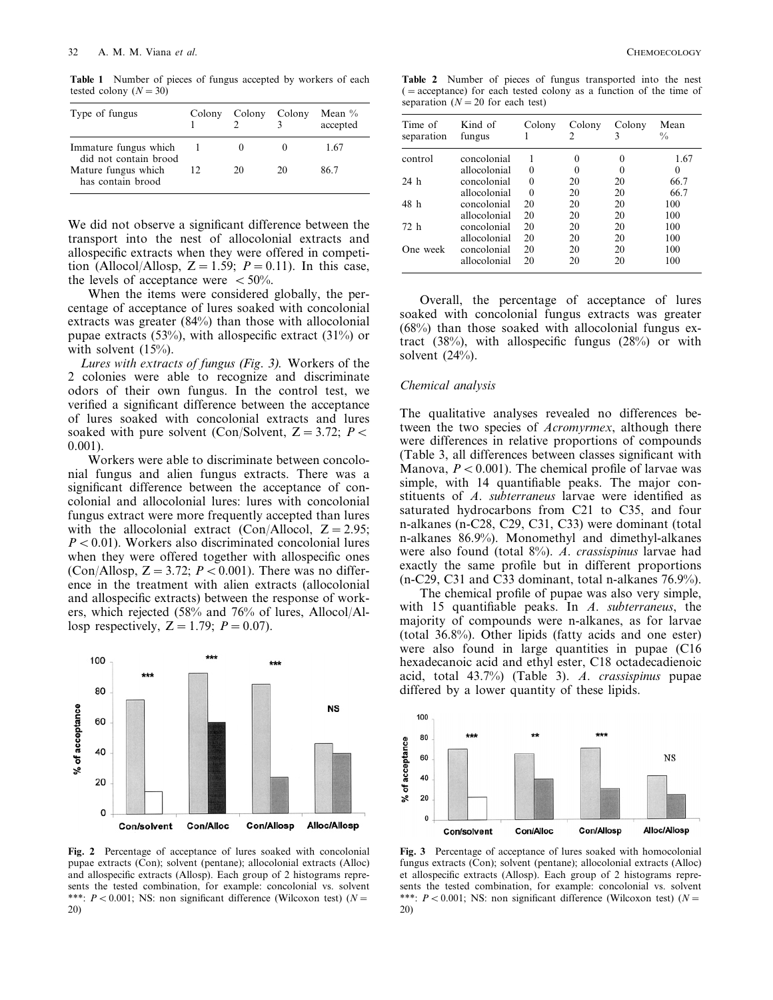**Table 1** Number of pieces of fungus accepted by workers of each tested colony  $(N = 30)$ 

| Type of fungus                                 | Colony | Colony Colony |    | Mean $\%$<br>accepted |
|------------------------------------------------|--------|---------------|----|-----------------------|
| Immature fungus which<br>did not contain brood |        |               |    | 1.67                  |
| Mature fungus which<br>has contain brood       | 12     | 20            | 20 | 86 7                  |

We did not observe a significant difference between the transport into the nest of allocolonial extracts and allospecific extracts when they were offered in competition (Allocol/Allosp,  $Z = 1.59$ ;  $P = 0.11$ ). In this case, the levels of acceptance were  $<$  50%.

When the items were considered globally, the percentage of acceptance of lures soaked with concolonial extracts was greater (84%) than those with allocolonial pupae extracts  $(53\%)$ , with allospecific extract  $(31\%)$  or with solvent  $(15%)$ .

*Lures with extracts of fungus* (*Fig*. 3). Workers of the 2 colonies were able to recognize and discriminate odors of their own fungus. In the control test, we verified a significant difference between the acceptance of lures soaked with concolonial extracts and lures soaked with pure solvent (Con/Solvent,  $Z = 3.72$ ;  $P \lt \theta$ 0.001).

Workers were able to discriminate between concolonial fungus and alien fungus extracts. There was a significant difference between the acceptance of concolonial and allocolonial lures: lures with concolonial fungus extract were more frequently accepted than lures with the allocolonial extract (Con/Allocol,  $Z = 2.95$ ;  $P < 0.01$ ). Workers also discriminated concolonial lures when they were offered together with allospecific ones (Con/Allosp,  $Z = 3.72$ ;  $P < 0.001$ ). There was no difference in the treatment with alien extracts (allocolonial and allospecific extracts) between the response of workers, which rejected (58% and 76% of lures, Allocol/Allosp respectively,  $Z = 1.79$ ;  $P = 0.07$ ).



**Fig. 2** Percentage of acceptance of lures soaked with concolonial pupae extracts (Con); solvent (pentane); allocolonial extracts (Alloc) and allospecific extracts (Allosp). Each group of 2 histograms represents the tested combination, for example: concolonial vs. solvent \*\*\*:  $P < 0.001$ ; NS: non significant difference (Wilcoxon test) ( $N =$ 20)

**Table 2** Number of pieces of fungus transported into the nest (=acceptance) for each tested colony as a function of the time of separation  $(N = 20$  for each test)

| Time of<br>separation | Kind of<br>fungus | Colony | Colony<br>2 | Colony<br>3 | Mean<br>$\frac{0}{0}$ |
|-----------------------|-------------------|--------|-------------|-------------|-----------------------|
| control               | concolonial       |        | $\Omega$    | $\theta$    | 1.67                  |
|                       | allocolonial      | 0      |             |             | $\Omega$              |
| 24 <sub>h</sub>       | concolonial       | 0      | 20          | 20          | 66.7                  |
|                       | allocolonial      | 0      | 20          | 20          | 66.7                  |
| 48 h                  | concolonial       | 20     | 20          | 20          | 100                   |
|                       | allocolonial      | 20     | 20          | 20          | 100                   |
| 72 h                  | concolonial       | 20     | 20          | 20          | 100                   |
|                       | allocolonial      | 20     | 20          | 20          | 100                   |
| One week              | concolonial       | 20     | 20          | 20          | 100                   |
|                       | allocolonial      | 20     | 20          | 20          | 100                   |

Overall, the percentage of acceptance of lures soaked with concolonial fungus extracts was greater (68%) than those soaked with allocolonial fungus extract (38%), with allospecific fungus (28%) or with solvent  $(24%)$ .

## *Chemical analysis*

The qualitative analyses revealed no differences between the two species of *Acromyrmex*, although there were differences in relative proportions of compounds (Table 3, all differences between classes significant with Manova,  $P < 0.001$ ). The chemical profile of larvae was simple, with 14 quantifiable peaks. The major constituents of *A*. *subterraneus* larvae were identified as saturated hydrocarbons from C21 to C35, and four n-alkanes (n-C28, C29, C31, C33) were dominant (total n-alkanes 86.9%). Monomethyl and dimethyl-alkanes were also found (total 8%). *A*. *crassispinus* larvae had exactly the same profile but in different proportions (n-C29, C31 and C33 dominant, total n-alkanes 76.9%).

The chemical profile of pupae was also very simple, with 15 quantifiable peaks. In *A*. *subterraneus*, the majority of compounds were n-alkanes, as for larvae (total 36.8%). Other lipids (fatty acids and one ester) were also found in large quantities in pupae (C16 hexadecanoic acid and ethyl ester, C18 octadecadienoic acid, total 43.7%) (Table 3). *A*. *crassispinus* pupae differed by a lower quantity of these lipids.



**Fig. 3** Percentage of acceptance of lures soaked with homocolonial fungus extracts (Con); solvent (pentane); allocolonial extracts (Alloc) et allospecific extracts (Allosp). Each group of 2 histograms represents the tested combination, for example: concolonial vs. solvent \*\*\*:  $P < 0.001$ ; NS: non significant difference (Wilcoxon test) ( $N =$ 20)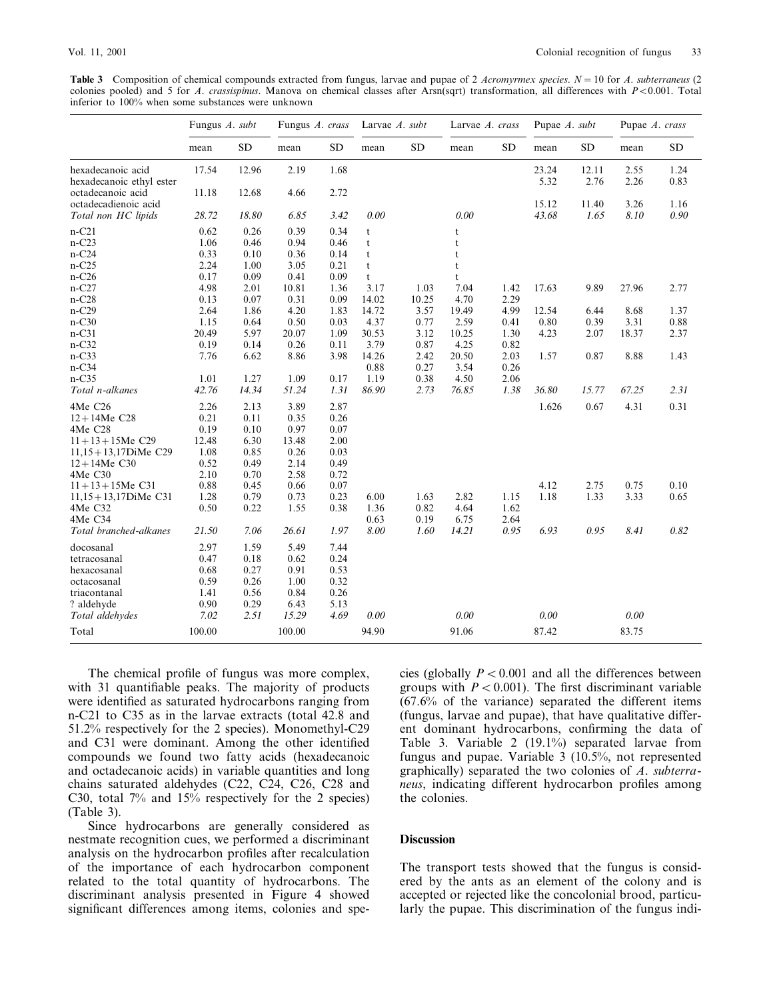**Table 3** Composition of chemical compounds extracted from fungus, larvae and pupae of 2 *Acromyrmex species*. *N*=10 for *A*. *subterraneus* (2 colonies pooled) and 5 for *A. crassispinus*. Manova on chemical classes after Arsn(sqrt) transformation, all differences with *P*<0.001. Total inferior to 100% when some substances were unknown

|                                               | Fungus A. subt |           | Fungus A. crass |           | Larvae $A$ . subt |       | Larvae A. crass |           | Pupae A. subt |               | Pupae A. crass |              |
|-----------------------------------------------|----------------|-----------|-----------------|-----------|-------------------|-------|-----------------|-----------|---------------|---------------|----------------|--------------|
|                                               | mean           | <b>SD</b> | mean            | <b>SD</b> | mean              | SD    | mean            | <b>SD</b> | mean          | SD            | mean           | <b>SD</b>    |
| hexadecanoic acid<br>hexadecanoic ethyl ester | 17.54          | 12.96     | 2.19            | 1.68      |                   |       |                 |           | 23.24<br>5.32 | 12.11<br>2.76 | 2.55<br>2.26   | 1.24<br>0.83 |
| octadecanoic acid<br>octadecadienoic acid     | 11.18          | 12.68     | 4.66            | 2.72      |                   |       |                 |           | 15.12         | 11.40         | 3.26           | 1.16         |
| Total non HC lipids                           | 28.72          | 18.80     | 6.85            | 3.42      | 0.00              |       | 0.00            |           | 43.68         | 1.65          | 8.10           | 0.90         |
| $n-C21$                                       | 0.62           | 0.26      | 0.39            | 0.34      | t                 |       | t               |           |               |               |                |              |
| $n-C23$                                       | 1.06           | 0.46      | 0.94            | 0.46      | t                 |       | t               |           |               |               |                |              |
| $n-C24$                                       | 0.33           | 0.10      | 0.36            | 0.14      | t                 |       | t               |           |               |               |                |              |
| $n-C25$                                       | 2.24           | 1.00      | 3.05            | 0.21      | t                 |       | t               |           |               |               |                |              |
| $n-C26$                                       | 0.17           | 0.09      | 0.41            | 0.09      | $\mathbf{t}$      |       | $\mathbf t$     |           |               |               |                |              |
| $n-C27$                                       | 4.98           | 2.01      | 10.81           | 1.36      | 3.17              | 1.03  | 7.04            | 1.42      | 17.63         | 9.89          | 27.96          | 2.77         |
| $n-C28$                                       | 0.13           | 0.07      | 0.31            | 0.09      | 14.02             | 10.25 | 4.70            | 2.29      |               |               |                |              |
| $n-C29$                                       | 2.64           | 1.86      | 4.20            | 1.83      | 14.72             | 3.57  | 19.49           | 4.99      | 12.54         | 6.44          | 8.68           | 1.37         |
| $n-C30$                                       | 1.15           | 0.64      | 0.50            | 0.03      | 4.37              | 0.77  | 2.59            | 0.41      | 0.80          | 0.39          | 3.31           | 0.88         |
| $n-C31$                                       | 20.49          | 5.97      | 20.07           | 1.09      | 30.53             | 3.12  | 10.25           | 1.30      | 4.23          | 2.07          | 18.37          | 2.37         |
| $n-C32$                                       | 0.19           | 0.14      | 0.26            | 0.11      | 3.79              | 0.87  | 4.25            | 0.82      |               |               |                |              |
| $n-C33$                                       | 7.76           | 6.62      | 8.86            | 3.98      | 14.26             | 2.42  | 20.50           | 2.03      | 1.57          | 0.87          | 8.88           | 1.43         |
| $n-C34$                                       |                |           |                 |           | 0.88              | 0.27  | 3.54            | 0.26      |               |               |                |              |
| $n-C35$                                       | 1.01           | 1.27      | 1.09            | 0.17      | 1.19              | 0.38  | 4.50            | 2.06      |               |               |                |              |
| Total n-alkanes                               | 42.76          | 14.34     | 51.24           | 1.31      | 86.90             | 2.73  | 76.85           | 1.38      | 36.80         | 15.77         | 67.25          | 2.31         |
|                                               |                |           |                 |           |                   |       |                 |           |               |               |                |              |
| 4Me C26                                       | 2.26           | 2.13      | 3.89            | 2.87      |                   |       |                 |           | 1.626         | 0.67          | 4.31           | 0.31         |
| $12 + 14$ Me C28                              | 0.21           | 0.11      | 0.35            | 0.26      |                   |       |                 |           |               |               |                |              |
| 4MeC28                                        | 0.19           | 0.10      | 0.97            | 0.07      |                   |       |                 |           |               |               |                |              |
| $11 + 13 + 15$ Me C29                         | 12.48          | 6.30      | 13.48           | 2.00      |                   |       |                 |           |               |               |                |              |
| $11,15+13,17$ DiMe C29                        | 1.08           | 0.85      | 0.26            | 0.03      |                   |       |                 |           |               |               |                |              |
| $12 + 14$ Me C30                              | 0.52           | 0.49      | 2.14            | 0.49      |                   |       |                 |           |               |               |                |              |
| 4Me C30                                       | 2.10           | 0.70      | 2.58            | 0.72      |                   |       |                 |           |               |               |                |              |
| $11 + 13 + 15$ Me C31                         | 0.88           | 0.45      | 0.66            | 0.07      |                   |       |                 |           | 4.12          | 2.75          | 0.75           | 0.10         |
| $11,15+13,17$ DiMe C31                        | 1.28           | 0.79      | 0.73            | 0.23      | 6.00              | 1.63  | 2.82            | 1.15      | 1.18          | 1.33          | 3.33           | 0.65         |
| 4MeC32                                        | 0.50           | 0.22      | 1.55            | 0.38      | 1.36              | 0.82  | 4.64            | 1.62      |               |               |                |              |
| 4Me C34                                       |                |           |                 |           | 0.63              | 0.19  | 6.75            | 2.64      |               |               |                |              |
| Total branched-alkanes                        | 21.50          | 7.06      | 26.61           | 1.97      | 8.00              | 1.60  | 14.21           | 0.95      | 6.93          | 0.95          | 8.41           | 0.82         |
| docosanal                                     | 2.97           | 1.59      | 5.49            | 7.44      |                   |       |                 |           |               |               |                |              |
| tetracosanal                                  | 0.47           | 0.18      | 0.62            | 0.24      |                   |       |                 |           |               |               |                |              |
| hexacosanal                                   | 0.68           | 0.27      | 0.91            | 0.53      |                   |       |                 |           |               |               |                |              |
| octacosanal                                   | 0.59           | 0.26      | 1.00            | 0.32      |                   |       |                 |           |               |               |                |              |
| triacontanal                                  | 1.41           | 0.56      | 0.84            | 0.26      |                   |       |                 |           |               |               |                |              |
| ? aldehyde                                    | 0.90           | 0.29      | 6.43            | 5.13      |                   |       |                 |           |               |               |                |              |
|                                               | 7.02           | 2.51      | 15.29           | 4.69      | 0.00              |       | 0.00            |           | 0.00          |               | 0.00           |              |
| Total aldehydes                               |                |           |                 |           |                   |       |                 |           |               |               |                |              |
| Total                                         | 100.00         |           | 100.00          |           | 94.90             |       | 91.06           |           | 87.42         |               | 83.75          |              |

The chemical profile of fungus was more complex, with 31 quantifiable peaks. The majority of products were identified as saturated hydrocarbons ranging from n-C21 to C35 as in the larvae extracts (total 42.8 and 51.2% respectively for the 2 species). Monomethyl-C29 and C31 were dominant. Among the other identified compounds we found two fatty acids (hexadecanoic and octadecanoic acids) in variable quantities and long chains saturated aldehydes (C22, C24, C26, C28 and C30, total 7% and 15% respectively for the 2 species) (Table 3).

Since hydrocarbons are generally considered as nestmate recognition cues, we performed a discriminant analysis on the hydrocarbon profiles after recalculation of the importance of each hydrocarbon component related to the total quantity of hydrocarbons. The discriminant analysis presented in Figure 4 showed significant differences among items, colonies and species (globally  $P < 0.001$  and all the differences between groups with  $P < 0.001$ ). The first discriminant variable  $(67.6\%$  of the variance) separated the different items (fungus, larvae and pupae), that have qualitative different dominant hydrocarbons, confirming the data of Table 3. Variable 2 (19.1%) separated larvae from fungus and pupae. Variable 3 (10.5%, not represented graphically) separated the two colonies of *A*. *subterraneus*, indicating different hydrocarbon profiles among the colonies.

# **Discussion**

The transport tests showed that the fungus is considered by the ants as an element of the colony and is accepted or rejected like the concolonial brood, particularly the pupae. This discrimination of the fungus indi-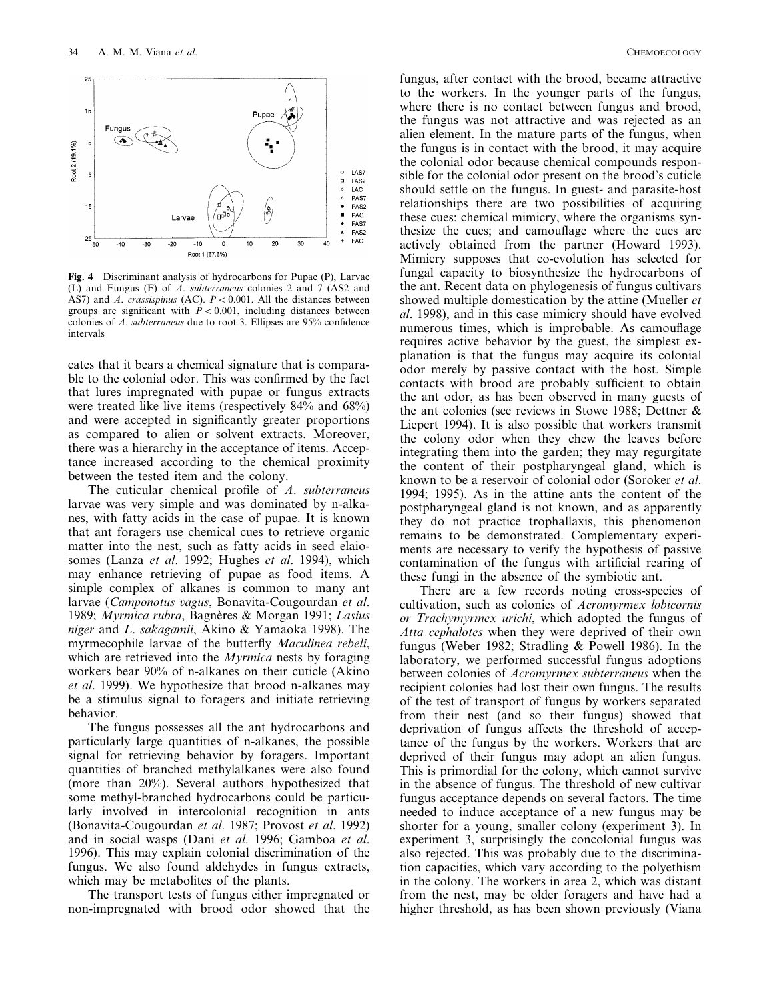

**Fig. 4** Discriminant analysis of hydrocarbons for Pupae (P), Larvae (L) and Fungus (F) of *A*. *subterraneus* colonies 2 and 7 (AS2 and AS7) and *A*. *crassispinus* (AC).  $P < 0.001$ . All the distances between groups are significant with  $P < 0.001$ , including distances between colonies of *A*. *subterraneus* due to root 3. Ellipses are 95% confidence intervals

cates that it bears a chemical signature that is comparable to the colonial odor. This was confirmed by the fact that lures impregnated with pupae or fungus extracts were treated like live items (respectively 84% and 68%) and were accepted in significantly greater proportions as compared to alien or solvent extracts. Moreover, there was a hierarchy in the acceptance of items. Acceptance increased according to the chemical proximity between the tested item and the colony.

The cuticular chemical profile of *A*. *subterraneus* larvae was very simple and was dominated by n-alkanes, with fatty acids in the case of pupae. It is known that ant foragers use chemical cues to retrieve organic matter into the nest, such as fatty acids in seed elaiosomes (Lanza *et al*. 1992; Hughes *et al*. 1994), which may enhance retrieving of pupae as food items. A simple complex of alkanes is common to many ant larvae (*Camponotus* 6*agus*, Bonavita-Cougourdan *et al*. 1989; *Myrmica rubra*, Bagne`res & Morgan 1991; *Lasius niger* and *L*. *sakagamii*, Akino & Yamaoka 1998). The myrmecophile larvae of the butterfly *Maculinea rebeli*, which are retrieved into the *Myrmica* nests by foraging workers bear 90% of n-alkanes on their cuticle (Akino *et al*. 1999). We hypothesize that brood n-alkanes may be a stimulus signal to foragers and initiate retrieving behavior.

The fungus possesses all the ant hydrocarbons and particularly large quantities of n-alkanes, the possible signal for retrieving behavior by foragers. Important quantities of branched methylalkanes were also found (more than 20%). Several authors hypothesized that some methyl-branched hydrocarbons could be particularly involved in intercolonial recognition in ants (Bonavita-Cougourdan *et al*. 1987; Provost *et al*. 1992) and in social wasps (Dani *et al*. 1996; Gamboa *et al*. 1996). This may explain colonial discrimination of the fungus. We also found aldehydes in fungus extracts, which may be metabolites of the plants.

The transport tests of fungus either impregnated or non-impregnated with brood odor showed that the fungus, after contact with the brood, became attractive to the workers. In the younger parts of the fungus, where there is no contact between fungus and brood, the fungus was not attractive and was rejected as an alien element. In the mature parts of the fungus, when the fungus is in contact with the brood, it may acquire the colonial odor because chemical compounds responsible for the colonial odor present on the brood's cuticle should settle on the fungus. In guest- and parasite-host relationships there are two possibilities of acquiring these cues: chemical mimicry, where the organisms synthesize the cues; and camouflage where the cues are actively obtained from the partner (Howard 1993). Mimicry supposes that co-evolution has selected for fungal capacity to biosynthesize the hydrocarbons of the ant. Recent data on phylogenesis of fungus cultivars showed multiple domestication by the attine (Mueller *et al*. 1998), and in this case mimicry should have evolved numerous times, which is improbable. As camouflage requires active behavior by the guest, the simplest explanation is that the fungus may acquire its colonial odor merely by passive contact with the host. Simple contacts with brood are probably sufficient to obtain the ant odor, as has been observed in many guests of the ant colonies (see reviews in Stowe 1988; Dettner & Liepert 1994). It is also possible that workers transmit the colony odor when they chew the leaves before integrating them into the garden; they may regurgitate the content of their postpharyngeal gland, which is known to be a reservoir of colonial odor (Soroker *et al*. 1994; 1995). As in the attine ants the content of the postpharyngeal gland is not known, and as apparently they do not practice trophallaxis, this phenomenon remains to be demonstrated. Complementary experiments are necessary to verify the hypothesis of passive contamination of the fungus with artificial rearing of these fungi in the absence of the symbiotic ant.

There are a few records noting cross-species of cultivation, such as colonies of *Acromyrmex lobicornis or Trachymyrmex urichi*, which adopted the fungus of *Atta cephalotes* when they were deprived of their own fungus (Weber 1982; Stradling & Powell 1986). In the laboratory, we performed successful fungus adoptions between colonies of *Acromyrmex subterraneus* when the recipient colonies had lost their own fungus. The results of the test of transport of fungus by workers separated from their nest (and so their fungus) showed that deprivation of fungus affects the threshold of acceptance of the fungus by the workers. Workers that are deprived of their fungus may adopt an alien fungus. This is primordial for the colony, which cannot survive in the absence of fungus. The threshold of new cultivar fungus acceptance depends on several factors. The time needed to induce acceptance of a new fungus may be shorter for a young, smaller colony (experiment 3). In experiment 3, surprisingly the concolonial fungus was also rejected. This was probably due to the discrimination capacities, which vary according to the polyethism in the colony. The workers in area 2, which was distant from the nest, may be older foragers and have had a higher threshold, as has been shown previously (Viana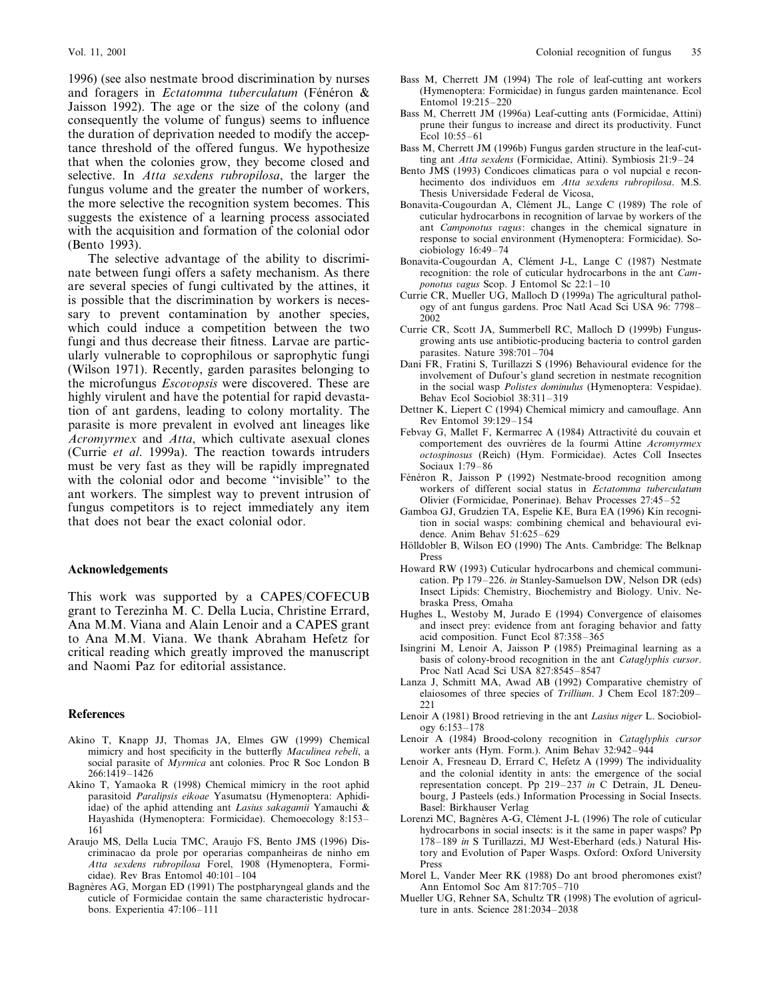1996) (see also nestmate brood discrimination by nurses and foragers in *Ectatomma tuberculatum* (Fénéron & Jaisson 1992). The age or the size of the colony (and consequently the volume of fungus) seems to influence the duration of deprivation needed to modify the acceptance threshold of the offered fungus. We hypothesize that when the colonies grow, they become closed and selective. In *Atta sexdens rubropilosa*, the larger the fungus volume and the greater the number of workers, the more selective the recognition system becomes. This suggests the existence of a learning process associated with the acquisition and formation of the colonial odor (Bento 1993).

The selective advantage of the ability to discriminate between fungi offers a safety mechanism. As there are several species of fungi cultivated by the attines, it is possible that the discrimination by workers is necessary to prevent contamination by another species, which could induce a competition between the two fungi and thus decrease their fitness. Larvae are particularly vulnerable to coprophilous or saprophytic fungi (Wilson 1971). Recently, garden parasites belonging to the microfungus *Escovopsis* were discovered. These are highly virulent and have the potential for rapid devastation of ant gardens, leading to colony mortality. The parasite is more prevalent in evolved ant lineages like *Acromyrmex* and *Atta*, which cultivate asexual clones (Currie *et al*. 1999a). The reaction towards intruders must be very fast as they will be rapidly impregnated with the colonial odor and become ''invisible'' to the ant workers. The simplest way to prevent intrusion of fungus competitors is to reject immediately any item that does not bear the exact colonial odor.

# **Acknowledgements**

This work was supported by a CAPES/COFECUB grant to Terezinha M. C. Della Lucia, Christine Errard, Ana M.M. Viana and Alain Lenoir and a CAPES grant to Ana M.M. Viana. We thank Abraham Hefetz for critical reading which greatly improved the manuscript and Naomi Paz for editorial assistance.

# **References**

- Akino T, Knapp JJ, Thomas JA, Elmes GW (1999) Chemical mimicry and host specificity in the butterfly *Maculinea rebeli*, a social parasite of *Myrmica* ant colonies. Proc R Soc London B 266:1419–1426
- Akino T, Yamaoka R (1998) Chemical mimicry in the root aphid parasitoid *Paralipsis eikoae* Yasumatsu (Hymenoptera: Aphidiidae) of the aphid attending ant *Lasius sakagamii* Yamauchi & Hayashida (Hymenoptera: Formicidae). Chemoecology 8:153– 161
- Araujo MS, Della Lucia TMC, Araujo FS, Bento JMS (1996) Discriminacao da prole por operarias companheiras de ninho em *Atta sexdens rubropilosa* Forel, 1908 (Hymenoptera, Formicidae). Rev Bras Entomol 40:101–104
- Bagnères AG, Morgan ED (1991) The postpharyngeal glands and the cuticle of Formicidae contain the same characteristic hydrocarbons. Experientia 47:106–111
- Bass M, Cherrett JM (1994) The role of leaf-cutting ant workers (Hymenoptera: Formicidae) in fungus garden maintenance. Ecol Entomol 19:215–220
- Bass M, Cherrett JM (1996a) Leaf-cutting ants (Formicidae, Attini) prune their fungus to increase and direct its productivity. Funct Ecol 10:55–61
- Bass M, Cherrett JM (1996b) Fungus garden structure in the leaf-cutting ant *Atta sexdens* (Formicidae, Attini). Symbiosis 21:9–24
- Bento JMS (1993) Condicoes climaticas para o vol nupcial e reconhecimento dos individuos em *Atta sexdens rubropilosa*. M.S. Thesis Universidade Federal de Vicosa,
- Bonavita-Cougourdan A, Clément JL, Lange C (1989) The role of cuticular hydrocarbons in recognition of larvae by workers of the ant *Camponotus* vagus: changes in the chemical signature in response to social environment (Hymenoptera: Formicidae). Sociobiology 16:49–74
- Bonavita-Cougourdan A, Clément J-L, Lange C (1987) Nestmate recognition: the role of cuticular hydrocarbons in the ant *Camponotus* vagus Scop. J Entomol Sc 22:1-10
- Currie CR, Mueller UG, Malloch D (1999a) The agricultural pathology of ant fungus gardens. Proc Natl Acad Sci USA 96: 7798– 2002
- Currie CR, Scott JA, Summerbell RC, Malloch D (1999b) Fungusgrowing ants use antibiotic-producing bacteria to control garden parasites. Nature 398:701–704
- Dani FR, Fratini S, Turillazzi S (1996) Behavioural evidence for the involvement of Dufour's gland secretion in nestmate recognition in the social wasp *Polistes dominulus* (Hymenoptera: Vespidae). Behav Ecol Sociobiol 38:311–319
- Dettner K, Liepert C (1994) Chemical mimicry and camouflage. Ann Rev Entomol 39:129–154
- Febvay G, Mallet F, Kermarrec A (1984) Attractivité du couvain et comportement des ouvrières de la fourmi Attine *Acromyrmex octospinosus* (Reich) (Hym. Formicidae). Actes Coll Insectes Sociaux 1:79–86
- Fénéron R, Jaisson P (1992) Nestmate-brood recognition among workers of different social status in *Ectatomma tuberculatum* Olivier (Formicidae, Ponerinae). Behav Processes 27:45–52
- Gamboa GJ, Grudzien TA, Espelie KE, Bura EA (1996) Kin recognition in social wasps: combining chemical and behavioural evidence. Anim Behav 51:625–629
- Hölldobler B, Wilson EO (1990) The Ants. Cambridge: The Belknap Press
- Howard RW (1993) Cuticular hydrocarbons and chemical communication. Pp 179–226. *in* Stanley-Samuelson DW, Nelson DR (eds) Insect Lipids: Chemistry, Biochemistry and Biology. Univ. Nebraska Press, Omaha
- Hughes L, Westoby M, Jurado E (1994) Convergence of elaisomes and insect prey: evidence from ant foraging behavior and fatty acid composition. Funct Ecol 87:358–365
- Isingrini M, Lenoir A, Jaisson P (1985) Preimaginal learning as a basis of colony-brood recognition in the ant *Cataglyphis cursor*. Proc Natl Acad Sci USA 827:8545–8547
- Lanza J, Schmitt MA, Awad AB (1992) Comparative chemistry of elaiosomes of three species of *Trillium*. J Chem Ecol 187:209– 221
- Lenoir A (1981) Brood retrieving in the ant *Lasius niger* L. Sociobiology 6:153–178
- Lenoir A (1984) Brood-colony recognition in *Cataglyphis cursor* worker ants (Hym. Form.). Anim Behav 32:942–944
- Lenoir A, Fresneau D, Errard C, Hefetz A (1999) The individuality and the colonial identity in ants: the emergence of the social representation concept. Pp 219–237 *in* C Detrain, JL Deneubourg, J Pasteels (eds.) Information Processing in Social Insects. Basel: Birkhauser Verlag
- Lorenzi MC, Bagnères A-G, Clément J-L (1996) The role of cuticular hydrocarbons in social insects: is it the same in paper wasps? Pp 178–189 *in* S Turillazzi, MJ West-Eberhard (eds.) Natural History and Evolution of Paper Wasps. Oxford: Oxford University Press
- Morel L, Vander Meer RK (1988) Do ant brood pheromones exist? Ann Entomol Soc Am 817:705–710
- Mueller UG, Rehner SA, Schultz TR (1998) The evolution of agriculture in ants. Science 281:2034–2038